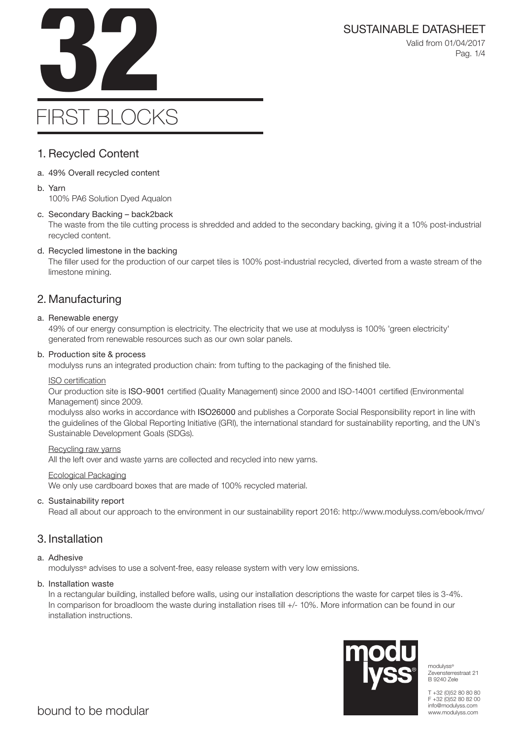

SUSTAINABLE DATASHEET<br>Valid from 01/04/2017<br>Pag. 1/4 Valid from 01/04/2017 Pag. 1/4

# FIRST BLOCKS

# 1. Recycled Content

- a. 49% Overall recycled content
- b. Yarn

100% PA6 Solution Dyed Aqualon

## c. Secondary Backing – back2back

The waste from the tile cutting process is shredded and added to the secondary backing, giving it a 10% post-industrial recycled content.

# d. Recycled limestone in the backing

The filler used for the production of our carpet tiles is 100% post-industrial recycled, diverted from a waste stream of the limestone mining.

# 2. Manufacturing

## a. Renewable energy

49% of our energy consumption is electricity. The electricity that we use at modulyss is 100% 'green electricity' generated from renewable resources such as our own solar panels.

## b. Production site & process

modulyss runs an integrated production chain: from tufting to the packaging of the finished tile.

## ISO certification

Our production site is ISO-9001 certified (Quality Management) since 2000 and ISO-14001 certified (Environmental Management) since 2009.

modulyss also works in accordance with ISO26000 and publishes a Corporate Social Responsibility report in line with the guidelines of the Global Reporting Initiative (GRI), the international standard for sustainability reporting, and the UN's Sustainable Development Goals (SDGs).

## Recycling raw yarns

All the left over and waste yarns are collected and recycled into new yarns.

## Ecological Packaging

We only use cardboard boxes that are made of 100% recycled material.

## c. Sustainability report

Read all about our approach to the environment in our sustainability report 2016: http://www.modulyss.com/ebook/mvo/

# 3. Installation

## a. Adhesive

modulyss® advises to use a solvent-free, easy release system with very low emissions.

## b. Installation waste

In a rectangular building, installed before walls, using our installation descriptions the waste for carpet tiles is 3-4%. In comparison for broadloom the waste during installation rises till +/- 10%. More information can be found in our installation instructions.



modulyss® Zevensterrestraat 21 B 9240 Zele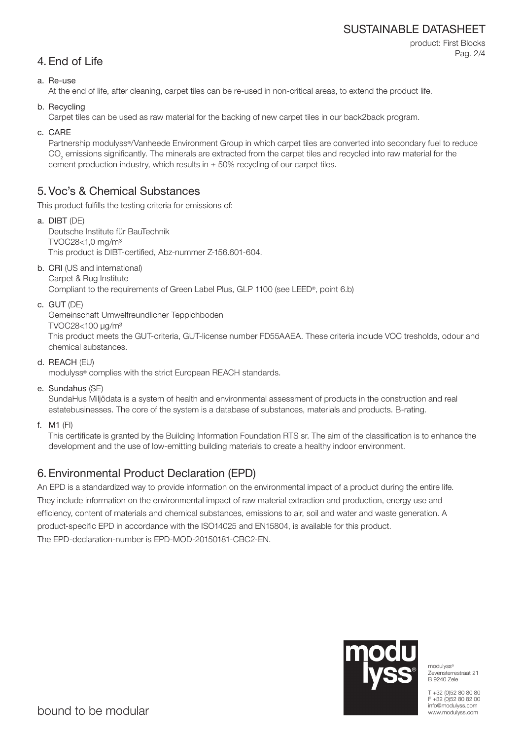# SUSTAINABLE DATASHEET

product: First Blocks Pag. 2/4

# 4. End of Life

### a. Re-use

At the end of life, after cleaning, carpet tiles can be re-used in non-critical areas, to extend the product life.

b. Recycling

Carpet tiles can be used as raw material for the backing of new carpet tiles in our back2back program.

c. CARE

Partnership modulyss®/Vanheede Environment Group in which carpet tiles are converted into secondary fuel to reduce  $\mathrm{CO}_2$  emissions significantly. The minerals are extracted from the carpet tiles and recycled into raw material for the cement production industry, which results in  $\pm$  50% recycling of our carpet tiles.

# 5. Voc's & Chemical Substances

This product fulfills the testing criteria for emissions of:

- a. DIBT (DE) Deutsche Institute für BauTechnik TVOC28<1,0 mg/m³ This product is DIBT-certified, Abz-nummer Z-156.601-604.
- b. CRI (US and international) Carpet & Rug Institute

Compliant to the requirements of Green Label Plus, GLP 1100 (see LEED®, point 6.b)

c. GUT (DE)

Gemeinschaft Umwelfreundlicher Teppichboden

TVOC28<100 μg/m³

This product meets the GUT-criteria, GUT-license number FD55AAEA. These criteria include VOC tresholds, odour and chemical substances.

d. REACH (EU)

modulyss® complies with the strict European REACH standards.

e. Sundahus (SE)

SundaHus Miljödata is a system of health and environmental assessment of products in the construction and real estatebusinesses. The core of the system is a database of substances, materials and products. B-rating.

f. M1 (FI)

This certificate is granted by the Building Information Foundation RTS sr. The aim of the classification is to enhance the development and the use of low-emitting building materials to create a healthy indoor environment.

# 6. Environmental Product Declaration (EPD)

An EPD is a standardized way to provide information on the environmental impact of a product during the entire life. They include information on the environmental impact of raw material extraction and production, energy use and efficiency, content of materials and chemical substances, emissions to air, soil and water and waste generation. A product-specific EPD in accordance with the ISO14025 and EN15804, is available for this product. The EPD-declaration-number is EPD-MOD-20150181-CBC2-EN.



modulyss® Zevensterrestraat 21 B 9240 Zele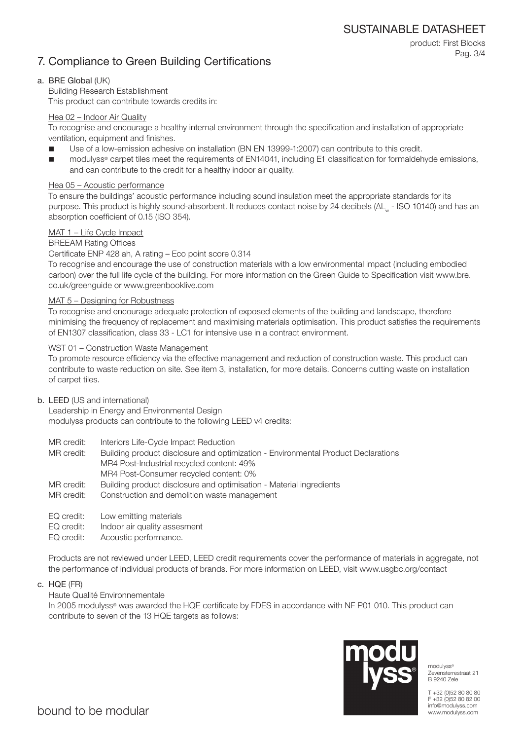SUSTAINABLE DATASHEET

# 7. Compliance to Green Building Certifications

product: First Blocks Pag. 3/4

### a. BRE Global (UK)

Building Research Establishment This product can contribute towards credits in:

### Hea 02 – Indoor Air Quality

To recognise and encourage a healthy internal environment through the specification and installation of appropriate ventilation, equipment and finishes.

- Use of a low-emission adhesive on installation (BN EN 13999-1:2007) can contribute to this credit.
- modulyss® carpet tiles meet the requirements of EN14041, including E1 classification for formaldehyde emissions, and can contribute to the credit for a healthy indoor air quality.

#### Hea 05 – Acoustic performance

To ensure the buildings' acoustic performance including sound insulation meet the appropriate standards for its purpose. This product is highly sound-absorbent. It reduces contact noise by 24 decibels (ΔL<sub>w</sub> - ISO 10140) and has an absorption coefficient of 0.15 (ISO 354).

### MAT 1 – Life Cycle Impact

#### BREEAM Rating Offices

Certificate ENP 428 ah, A rating – Eco point score 0.314

To recognise and encourage the use of construction materials with a low environmental impact (including embodied carbon) over the full life cycle of the building. For more information on the Green Guide to Specification visit www.bre. co.uk/greenguide or www.greenbooklive.com

#### MAT 5 – Designing for Robustness

To recognise and encourage adequate protection of exposed elements of the building and landscape, therefore minimising the frequency of replacement and maximising materials optimisation. This product satisfies the requirements of EN1307 classification, class 33 - LC1 for intensive use in a contract environment.

#### WST 01 – Construction Waste Management

To promote resource efficiency via the effective management and reduction of construction waste. This product can contribute to waste reduction on site. See item 3, installation, for more details. Concerns cutting waste on installation of carpet tiles.

#### b. LEED (US and international)

Leadership in Energy and Environmental Design modulyss products can contribute to the following LEED v4 credits:

- MR credit: Interiors Life-Cycle Impact Reduction
- MR credit: Building product disclosure and optimization Environmental Product Declarations MR4 Post-Industrial recycled content: 49%
	- MR4 Post-Consumer recycled content: 0%
- MR credit: Building product disclosure and optimisation Material ingredients
- MR credit: Construction and demolition waste management
- EQ credit: Low emitting materials
- EQ credit: Indoor air quality assesment
- EQ credit: Acoustic performance.

Products are not reviewed under LEED, LEED credit requirements cover the performance of materials in aggregate, not the performance of individual products of brands. For more information on LEED, visit www.usgbc.org/contact

c. HQE (FR)

#### Haute Qualité Environnementale

In 2005 modulyss® was awarded the HQE certificate by FDES in accordance with NF P01 010. This product can contribute to seven of the 13 HQE targets as follows:



modulyss® Zevensterrestraat 21 B 9240 Zele